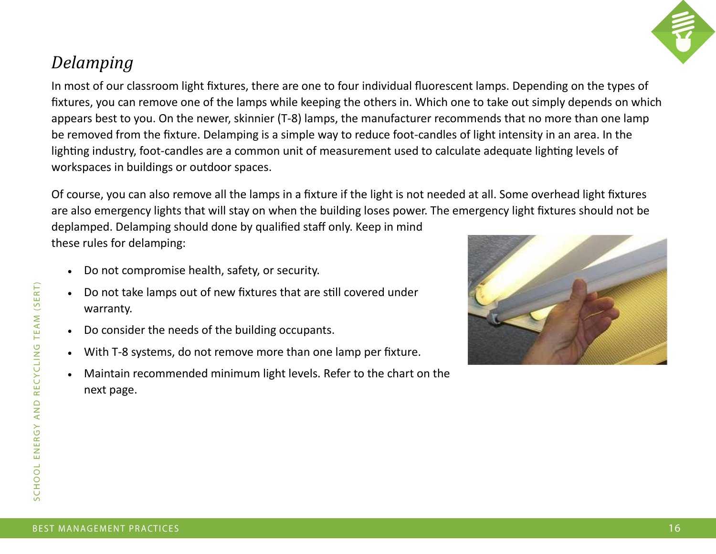

## *Delamping*

In most of our classroom light fixtures, there are one to four individual fluorescent lamps. Depending on the types of fixtures, you can remove one of the lamps while keeping the others in. Which one to take out simply depends on which appears best to you. On the newer, skinnier (T-8) lamps, the manufacturer recommends that no more than one lamp be removed from the fixture. Delamping is a simple way to reduce foot-candles of light intensity in an area. In the lighting industry, foot-candles are a common unit of measurement used to calculate adequate lighting levels of workspaces in buildings or outdoor spaces.

Of course, you can also remove all the lamps in a fixture if the light is not needed at all. Some overhead light fixtures are also emergency lights that will stay on when the building loses power. The emergency light fixtures should not be deplamped. Delamping should done by qualified staff only. Keep in mind these rules for delamping:

- Do not compromise health, safety, or security.
- Do not take lamps out of new fixtures that are still covered under warranty.
- Do consider the needs of the building occupants.
- With T-8 systems, do not remove more than one lamp per fixture.
- Maintain recommended minimum light levels. Refer to the chart on the next page.

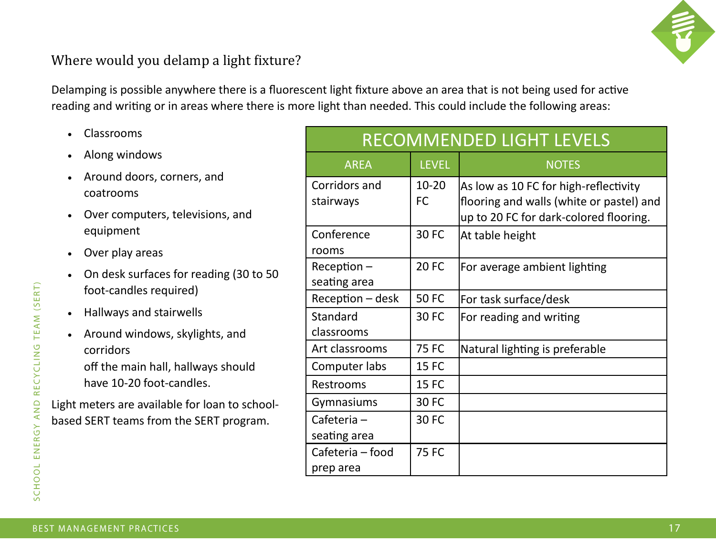

## Where would you delamp a light fixture?

Delamping is possible anywhere there is a fluorescent light fixture above an area that is not being used for active reading and writing or in areas where there is more light than needed. This could include the following areas:

- Classrooms
- Along windows
- Around doors, corners, and coatrooms
- Over computers, televisions, and equipment
- Over play areas
- On desk surfaces for reading (30 to 50 foot-candles required)
- Hallways and stairwells
- Around windows, skylights, and corridors off the main hall, hallways should have 10-20 foot-candles.

Light meters are available for loan to schoolbased SERT teams from the SERT program.

| <b>RECOMMENDED LIGHT LEVELS</b> |              |                                          |
|---------------------------------|--------------|------------------------------------------|
| <b>AREA</b>                     | <b>LEVEL</b> | <b>NOTES</b>                             |
| Corridors and                   | $10 - 20$    | As low as 10 FC for high-reflectivity    |
| stairways                       | <b>FC</b>    | flooring and walls (white or pastel) and |
|                                 |              | up to 20 FC for dark-colored flooring.   |
| Conference                      | <b>30 FC</b> | At table height                          |
| rooms                           |              |                                          |
| $Reception -$                   | <b>20 FC</b> | For average ambient lighting             |
| seating area                    |              |                                          |
| Reception - desk                | <b>50 FC</b> | For task surface/desk                    |
| Standard                        | <b>30 FC</b> | For reading and writing                  |
| classrooms                      |              |                                          |
| Art classrooms                  | <b>75 FC</b> | Natural lighting is preferable           |
| Computer labs                   | <b>15 FC</b> |                                          |
| Restrooms                       | <b>15 FC</b> |                                          |
| Gymnasiums                      | <b>30 FC</b> |                                          |
| Cafeteria-                      | <b>30 FC</b> |                                          |
| seating area                    |              |                                          |
| Cafeteria - food                | <b>75 FC</b> |                                          |
| prep area                       |              |                                          |